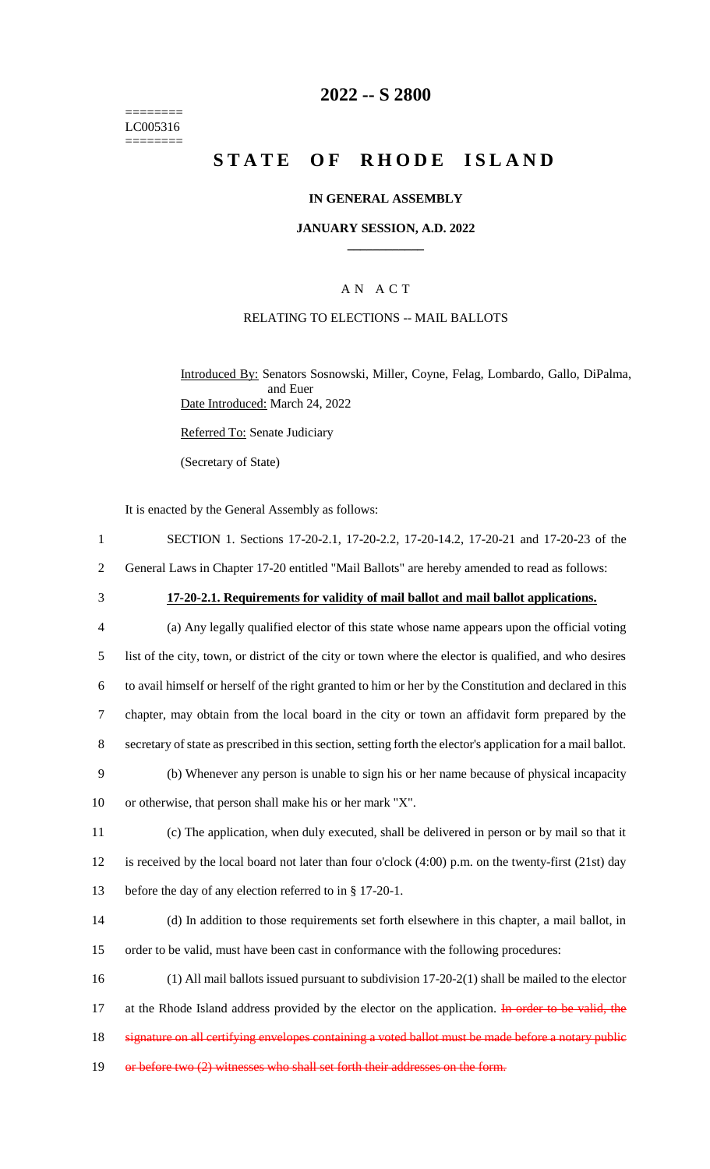======== LC005316  $=$ 

# **2022 -- S 2800**

# **STATE OF RHODE ISLAND**

### **IN GENERAL ASSEMBLY**

### **JANUARY SESSION, A.D. 2022 \_\_\_\_\_\_\_\_\_\_\_\_**

## A N A C T

### RELATING TO ELECTIONS -- MAIL BALLOTS

Introduced By: Senators Sosnowski, Miller, Coyne, Felag, Lombardo, Gallo, DiPalma, and Euer Date Introduced: March 24, 2022

Referred To: Senate Judiciary

(Secretary of State)

It is enacted by the General Assembly as follows:

| $\mathbf{1}$   | SECTION 1. Sections 17-20-2.1, 17-20-2.2, 17-20-14.2, 17-20-21 and 17-20-23 of the                           |
|----------------|--------------------------------------------------------------------------------------------------------------|
| $\overline{2}$ | General Laws in Chapter 17-20 entitled "Mail Ballots" are hereby amended to read as follows:                 |
| 3              | 17-20-2.1. Requirements for validity of mail ballot and mail ballot applications.                            |
| 4              | (a) Any legally qualified elector of this state whose name appears upon the official voting                  |
| 5              | list of the city, town, or district of the city or town where the elector is qualified, and who desires      |
| 6              | to avail himself or herself of the right granted to him or her by the Constitution and declared in this      |
| $\tau$         | chapter, may obtain from the local board in the city or town an affidavit form prepared by the               |
| 8              | secretary of state as prescribed in this section, setting forth the elector's application for a mail ballot. |
| 9              | (b) Whenever any person is unable to sign his or her name because of physical incapacity                     |
| 10             | or otherwise, that person shall make his or her mark "X".                                                    |
| 11             | (c) The application, when duly executed, shall be delivered in person or by mail so that it                  |
| 12             | is received by the local board not later than four o'clock (4:00) p.m. on the twenty-first (21st) day        |
| 13             | before the day of any election referred to in § 17-20-1.                                                     |
| 14             | (d) In addition to those requirements set forth elsewhere in this chapter, a mail ballot, in                 |
| 15             | order to be valid, must have been cast in conformance with the following procedures:                         |
| 16             | $(1)$ All mail ballots issued pursuant to subdivision 17-20-2(1) shall be mailed to the elector              |
| 17             | at the Rhode Island address provided by the elector on the application. In order to be valid, the            |
| 18             | signature on all certifying envelopes containing a voted ballot must be made before a notary public          |
| 19             | or before two (2) witnesses who shall set forth their addresses on the form.                                 |
|                |                                                                                                              |
|                |                                                                                                              |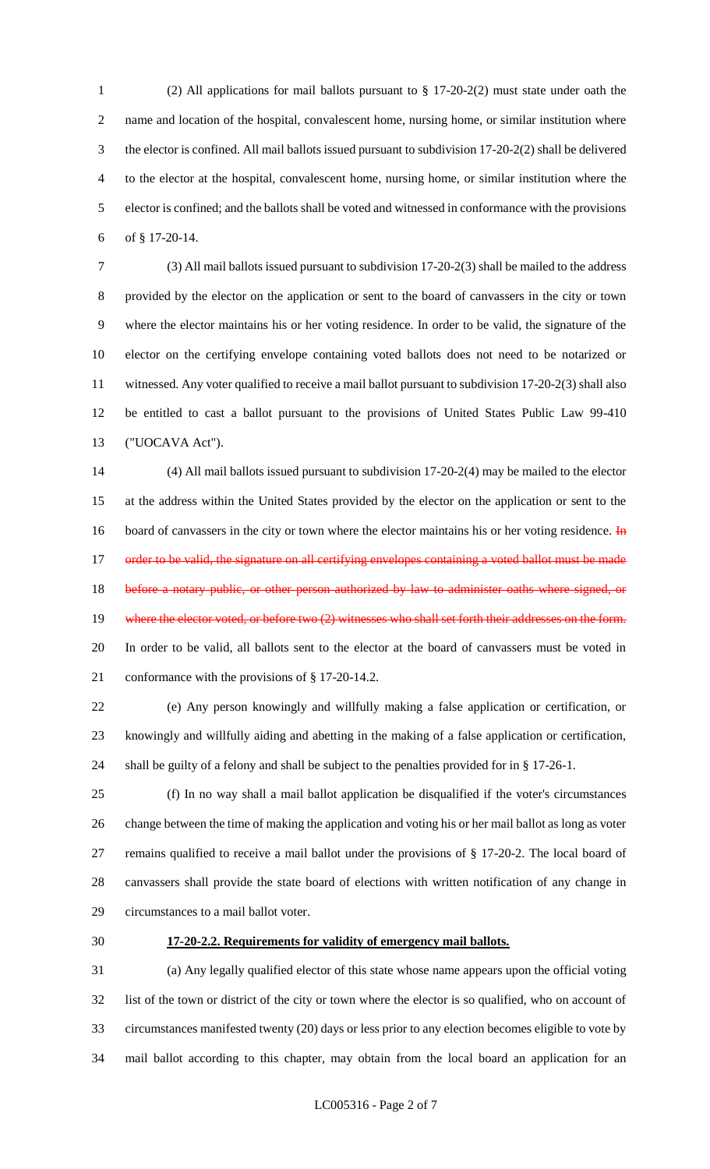(2) All applications for mail ballots pursuant to § 17-20-2(2) must state under oath the name and location of the hospital, convalescent home, nursing home, or similar institution where the elector is confined. All mail ballots issued pursuant to subdivision 17-20-2(2) shall be delivered to the elector at the hospital, convalescent home, nursing home, or similar institution where the elector is confined; and the ballots shall be voted and witnessed in conformance with the provisions of § 17-20-14.

 (3) All mail ballots issued pursuant to subdivision 17-20-2(3) shall be mailed to the address provided by the elector on the application or sent to the board of canvassers in the city or town where the elector maintains his or her voting residence. In order to be valid, the signature of the elector on the certifying envelope containing voted ballots does not need to be notarized or witnessed. Any voter qualified to receive a mail ballot pursuant to subdivision 17-20-2(3) shall also be entitled to cast a ballot pursuant to the provisions of United States Public Law 99-410 ("UOCAVA Act").

 (4) All mail ballots issued pursuant to subdivision 17-20-2(4) may be mailed to the elector at the address within the United States provided by the elector on the application or sent to the 16 board of canvassers in the city or town where the elector maintains his or her voting residence. In 17 order to be valid, the signature on all certifying envelopes containing a voted ballot must be made 18 before a notary public, or other person authorized by law to administer oaths where signed, or 19 where the elector voted, or before two (2) witnesses who shall set forth their addresses on the form. In order to be valid, all ballots sent to the elector at the board of canvassers must be voted in conformance with the provisions of § 17-20-14.2.

 (e) Any person knowingly and willfully making a false application or certification, or knowingly and willfully aiding and abetting in the making of a false application or certification, shall be guilty of a felony and shall be subject to the penalties provided for in § 17-26-1.

 (f) In no way shall a mail ballot application be disqualified if the voter's circumstances change between the time of making the application and voting his or her mail ballot as long as voter remains qualified to receive a mail ballot under the provisions of § 17-20-2. The local board of canvassers shall provide the state board of elections with written notification of any change in circumstances to a mail ballot voter.

#### **17-20-2.2. Requirements for validity of emergency mail ballots.**

 (a) Any legally qualified elector of this state whose name appears upon the official voting list of the town or district of the city or town where the elector is so qualified, who on account of circumstances manifested twenty (20) days or less prior to any election becomes eligible to vote by mail ballot according to this chapter, may obtain from the local board an application for an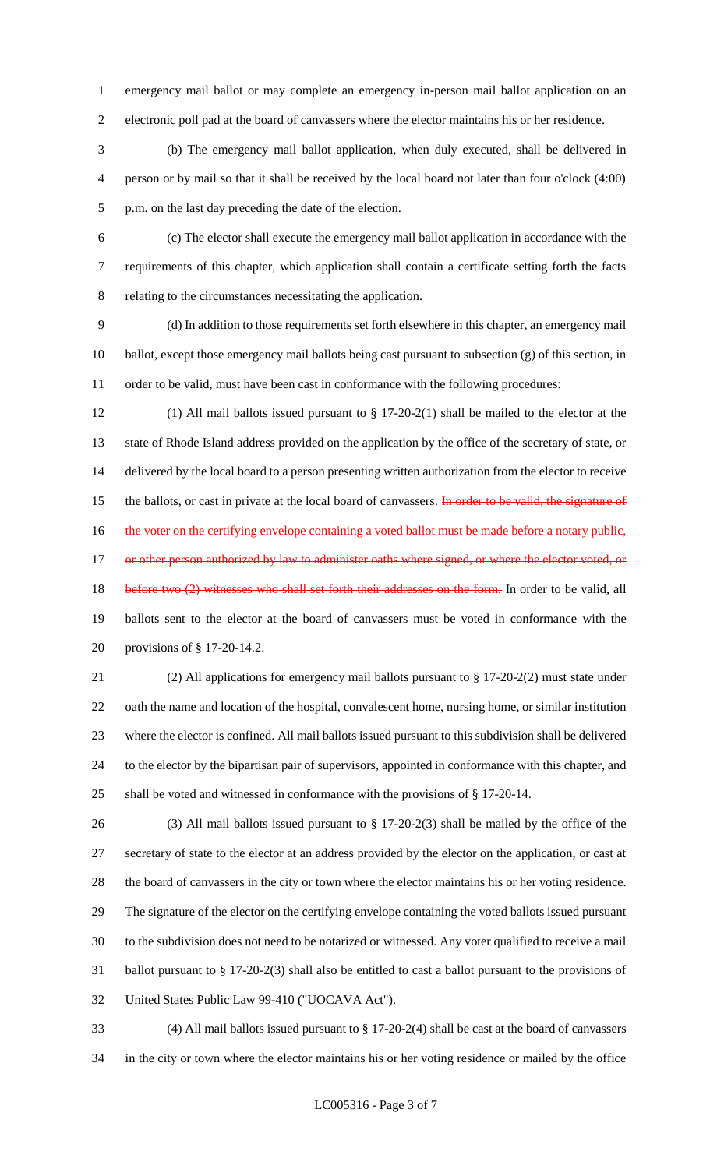emergency mail ballot or may complete an emergency in-person mail ballot application on an electronic poll pad at the board of canvassers where the elector maintains his or her residence.

 (b) The emergency mail ballot application, when duly executed, shall be delivered in person or by mail so that it shall be received by the local board not later than four o'clock (4:00) p.m. on the last day preceding the date of the election.

 (c) The elector shall execute the emergency mail ballot application in accordance with the requirements of this chapter, which application shall contain a certificate setting forth the facts relating to the circumstances necessitating the application.

 (d) In addition to those requirements set forth elsewhere in this chapter, an emergency mail ballot, except those emergency mail ballots being cast pursuant to subsection (g) of this section, in 11 order to be valid, must have been cast in conformance with the following procedures:

 (1) All mail ballots issued pursuant to § 17-20-2(1) shall be mailed to the elector at the state of Rhode Island address provided on the application by the office of the secretary of state, or delivered by the local board to a person presenting written authorization from the elector to receive 15 the ballots, or cast in private at the local board of canvassers. In order to be valid, the signature of 16 the voter on the certifying envelope containing a voted ballot must be made before a notary public, 17 or other person authorized by law to administer oaths where signed, or where the elector voted, or 18 before two (2) witnesses who shall set forth their addresses on the form. In order to be valid, all ballots sent to the elector at the board of canvassers must be voted in conformance with the provisions of § 17-20-14.2.

 (2) All applications for emergency mail ballots pursuant to § 17-20-2(2) must state under oath the name and location of the hospital, convalescent home, nursing home, or similar institution where the elector is confined. All mail ballots issued pursuant to this subdivision shall be delivered to the elector by the bipartisan pair of supervisors, appointed in conformance with this chapter, and shall be voted and witnessed in conformance with the provisions of § 17-20-14.

 (3) All mail ballots issued pursuant to § 17-20-2(3) shall be mailed by the office of the secretary of state to the elector at an address provided by the elector on the application, or cast at the board of canvassers in the city or town where the elector maintains his or her voting residence. The signature of the elector on the certifying envelope containing the voted ballots issued pursuant to the subdivision does not need to be notarized or witnessed. Any voter qualified to receive a mail ballot pursuant to § 17-20-2(3) shall also be entitled to cast a ballot pursuant to the provisions of United States Public Law 99-410 ("UOCAVA Act").

 (4) All mail ballots issued pursuant to § 17-20-2(4) shall be cast at the board of canvassers in the city or town where the elector maintains his or her voting residence or mailed by the office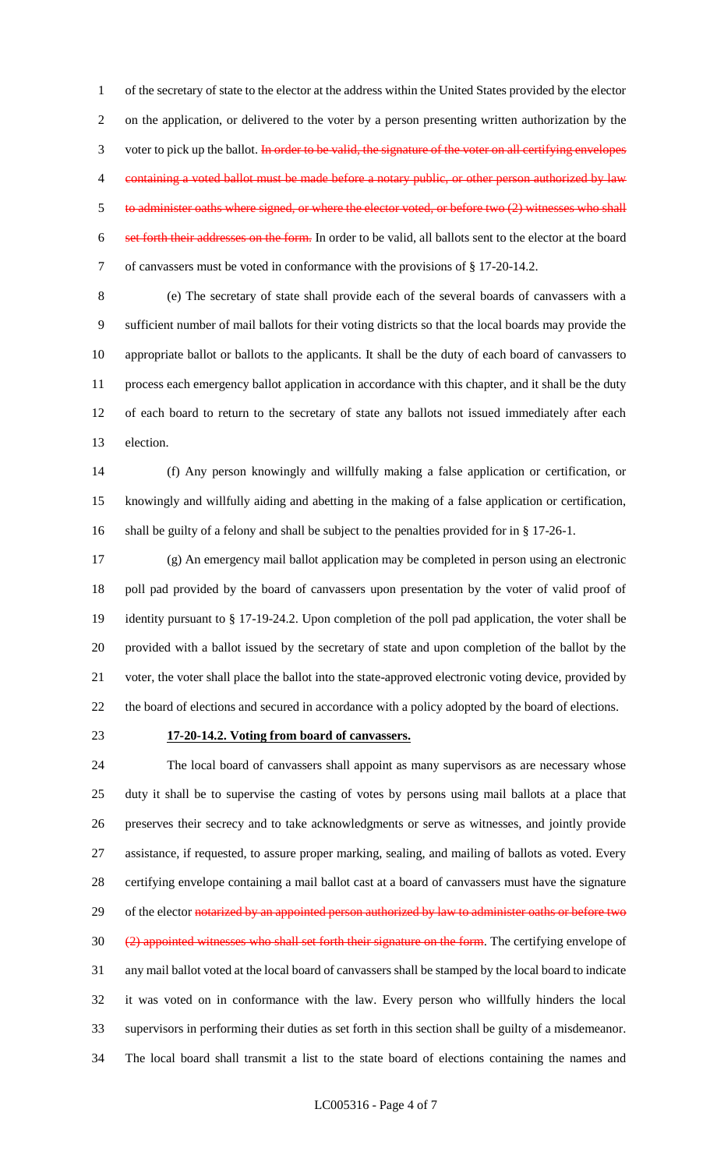of the secretary of state to the elector at the address within the United States provided by the elector on the application, or delivered to the voter by a person presenting written authorization by the 3 voter to pick up the ballot. In order to be valid, the signature of the voter on all certifying envelopes 4 containing a voted ballot must be made before a notary public, or other person authorized by law to administer oaths where signed, or where the elector voted, or before two (2) witnesses who shall set forth their addresses on the form. In order to be valid, all ballots sent to the elector at the board of canvassers must be voted in conformance with the provisions of § 17-20-14.2.

 (e) The secretary of state shall provide each of the several boards of canvassers with a sufficient number of mail ballots for their voting districts so that the local boards may provide the appropriate ballot or ballots to the applicants. It shall be the duty of each board of canvassers to process each emergency ballot application in accordance with this chapter, and it shall be the duty of each board to return to the secretary of state any ballots not issued immediately after each election.

 (f) Any person knowingly and willfully making a false application or certification, or knowingly and willfully aiding and abetting in the making of a false application or certification, shall be guilty of a felony and shall be subject to the penalties provided for in § 17-26-1.

 (g) An emergency mail ballot application may be completed in person using an electronic poll pad provided by the board of canvassers upon presentation by the voter of valid proof of identity pursuant to § 17-19-24.2. Upon completion of the poll pad application, the voter shall be provided with a ballot issued by the secretary of state and upon completion of the ballot by the voter, the voter shall place the ballot into the state-approved electronic voting device, provided by the board of elections and secured in accordance with a policy adopted by the board of elections.

#### **17-20-14.2. Voting from board of canvassers.**

 The local board of canvassers shall appoint as many supervisors as are necessary whose duty it shall be to supervise the casting of votes by persons using mail ballots at a place that preserves their secrecy and to take acknowledgments or serve as witnesses, and jointly provide assistance, if requested, to assure proper marking, sealing, and mailing of ballots as voted. Every certifying envelope containing a mail ballot cast at a board of canvassers must have the signature 29 of the elector notarized by an appointed person authorized by law to administer oaths or before two 30 (2) appointed witnesses who shall set forth their signature on the form. The certifying envelope of any mail ballot voted at the local board of canvassers shall be stamped by the local board to indicate it was voted on in conformance with the law. Every person who willfully hinders the local supervisors in performing their duties as set forth in this section shall be guilty of a misdemeanor. The local board shall transmit a list to the state board of elections containing the names and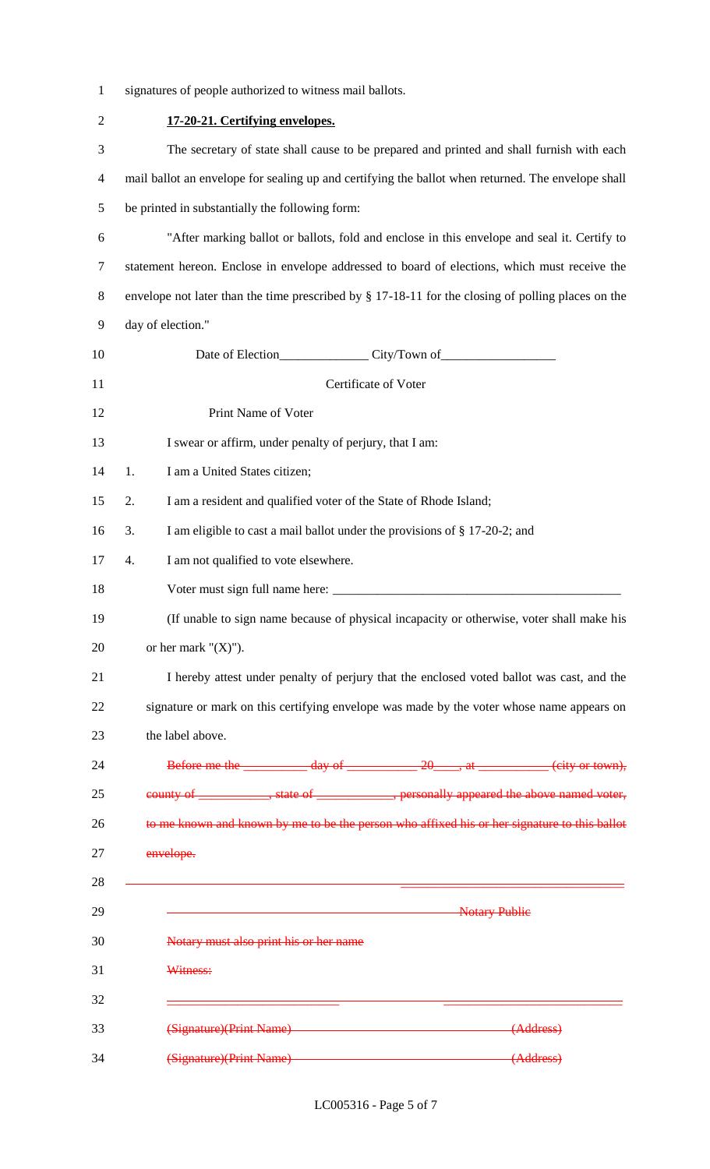| signatures of people authorized to witness mail ballots. |  |
|----------------------------------------------------------|--|
|----------------------------------------------------------|--|

| $\overline{2}$ |                                                                                                    | 17-20-21. Certifying envelopes.                                                                                                                                                                                                                                                                                                                                                                                        |
|----------------|----------------------------------------------------------------------------------------------------|------------------------------------------------------------------------------------------------------------------------------------------------------------------------------------------------------------------------------------------------------------------------------------------------------------------------------------------------------------------------------------------------------------------------|
| 3              |                                                                                                    | The secretary of state shall cause to be prepared and printed and shall furnish with each                                                                                                                                                                                                                                                                                                                              |
| 4              | mail ballot an envelope for sealing up and certifying the ballot when returned. The envelope shall |                                                                                                                                                                                                                                                                                                                                                                                                                        |
| 5              | be printed in substantially the following form:                                                    |                                                                                                                                                                                                                                                                                                                                                                                                                        |
| 6              |                                                                                                    | "After marking ballot or ballots, fold and enclose in this envelope and seal it. Certify to                                                                                                                                                                                                                                                                                                                            |
| $\tau$         |                                                                                                    | statement hereon. Enclose in envelope addressed to board of elections, which must receive the                                                                                                                                                                                                                                                                                                                          |
| 8              |                                                                                                    | envelope not later than the time prescribed by § 17-18-11 for the closing of polling places on the                                                                                                                                                                                                                                                                                                                     |
| 9              |                                                                                                    | day of election."                                                                                                                                                                                                                                                                                                                                                                                                      |
| 10             |                                                                                                    |                                                                                                                                                                                                                                                                                                                                                                                                                        |
| 11             |                                                                                                    | Certificate of Voter                                                                                                                                                                                                                                                                                                                                                                                                   |
| 12             |                                                                                                    | Print Name of Voter                                                                                                                                                                                                                                                                                                                                                                                                    |
| 13             |                                                                                                    | I swear or affirm, under penalty of perjury, that I am:                                                                                                                                                                                                                                                                                                                                                                |
| 14             | 1.                                                                                                 | I am a United States citizen;                                                                                                                                                                                                                                                                                                                                                                                          |
| 15             | 2.                                                                                                 | I am a resident and qualified voter of the State of Rhode Island;                                                                                                                                                                                                                                                                                                                                                      |
| 16             | 3.                                                                                                 | I am eligible to cast a mail ballot under the provisions of § 17-20-2; and                                                                                                                                                                                                                                                                                                                                             |
| 17             | 4.                                                                                                 | I am not qualified to vote elsewhere.                                                                                                                                                                                                                                                                                                                                                                                  |
| 18             |                                                                                                    | Voter must sign full name here:                                                                                                                                                                                                                                                                                                                                                                                        |
| 19             |                                                                                                    | (If unable to sign name because of physical incapacity or otherwise, voter shall make his                                                                                                                                                                                                                                                                                                                              |
| 20             |                                                                                                    | or her mark " $(X)$ ").                                                                                                                                                                                                                                                                                                                                                                                                |
| 21             |                                                                                                    | I hereby attest under penalty of perjury that the enclosed voted ballot was cast, and the                                                                                                                                                                                                                                                                                                                              |
| 22             |                                                                                                    | signature or mark on this certifying envelope was made by the voter whose name appears on                                                                                                                                                                                                                                                                                                                              |
| 23             |                                                                                                    | the label above.                                                                                                                                                                                                                                                                                                                                                                                                       |
| 24             |                                                                                                    | Before me the $\frac{day \text{ of } 20 \text{ of } 20 \text{ of } 20 \text{ of } 20 \text{ of } 20 \text{ of } 20 \text{ of } 20 \text{ of } 20 \text{ of } 20 \text{ of } 20 \text{ of } 20 \text{ of } 20 \text{ of } 20 \text{ of } 20 \text{ of } 20 \text{ of } 20 \text{ of } 20 \text{ of } 20 \text{ of } 20 \text{ of } 20 \text{ of } 20 \text{ of } 20 \text{ of } 20 \text{ of } 20 \text{ of } 20 \text$ |
| 25             |                                                                                                    | county of _____________, state of _____________, personally appeared the above named voter,                                                                                                                                                                                                                                                                                                                            |
| 26             |                                                                                                    | to me known and known by me to be the person who affixed his or her signature to this ballot                                                                                                                                                                                                                                                                                                                           |
| 27             |                                                                                                    | envelope.                                                                                                                                                                                                                                                                                                                                                                                                              |
| 28             |                                                                                                    |                                                                                                                                                                                                                                                                                                                                                                                                                        |
| 29             |                                                                                                    | <b>Notary Public</b>                                                                                                                                                                                                                                                                                                                                                                                                   |
| 30             |                                                                                                    | Notary must also print his or her name                                                                                                                                                                                                                                                                                                                                                                                 |
| 31             |                                                                                                    | Witness:                                                                                                                                                                                                                                                                                                                                                                                                               |
| 32             |                                                                                                    |                                                                                                                                                                                                                                                                                                                                                                                                                        |
| 33             |                                                                                                    | (Signature)(Print Name)<br>(Address)                                                                                                                                                                                                                                                                                                                                                                                   |
| 34             |                                                                                                    | (Signature)(Print Name) (Address)                                                                                                                                                                                                                                                                                                                                                                                      |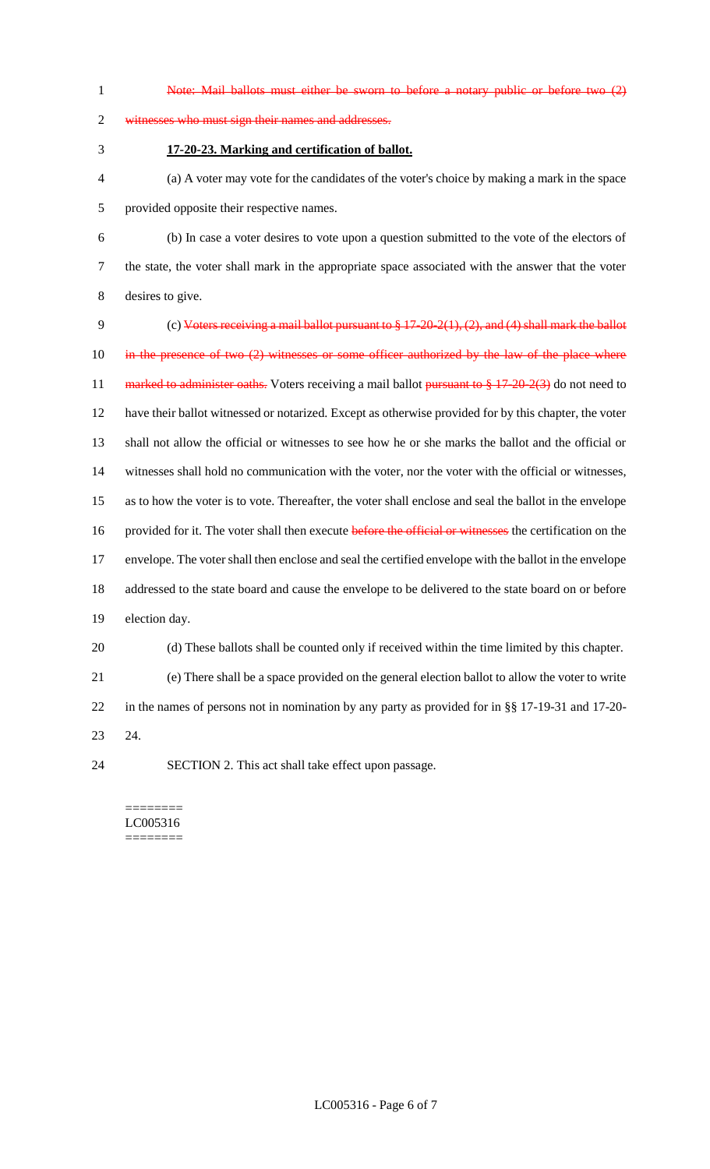Note: Mail ballots must either be sworn to before a notary public or before two (2) witnesses who must sign their names and addresses. **17-20-23. Marking and certification of ballot.** (a) A voter may vote for the candidates of the voter's choice by making a mark in the space provided opposite their respective names. (b) In case a voter desires to vote upon a question submitted to the vote of the electors of the state, the voter shall mark in the appropriate space associated with the answer that the voter desires to give. (c) Voters receiving a mail ballot pursuant to § 17-20-2(1), (2), and (4) shall mark the ballot 10 in the presence of two (2) witnesses or some officer authorized by the law of the place where 11 marked to administer oaths. Voters receiving a mail ballot pursuant to § 17-20-2(3) do not need to have their ballot witnessed or notarized. Except as otherwise provided for by this chapter, the voter shall not allow the official or witnesses to see how he or she marks the ballot and the official or witnesses shall hold no communication with the voter, nor the voter with the official or witnesses, as to how the voter is to vote. Thereafter, the voter shall enclose and seal the ballot in the envelope 16 provided for it. The voter shall then execute before the official or witnesses the certification on the envelope. The voter shall then enclose and seal the certified envelope with the ballot in the envelope addressed to the state board and cause the envelope to be delivered to the state board on or before election day. (d) These ballots shall be counted only if received within the time limited by this chapter. (e) There shall be a space provided on the general election ballot to allow the voter to write in the names of persons not in nomination by any party as provided for in §§ 17-19-31 and 17-20- 24. SECTION 2. This act shall take effect upon passage.

======== LC005316 ========